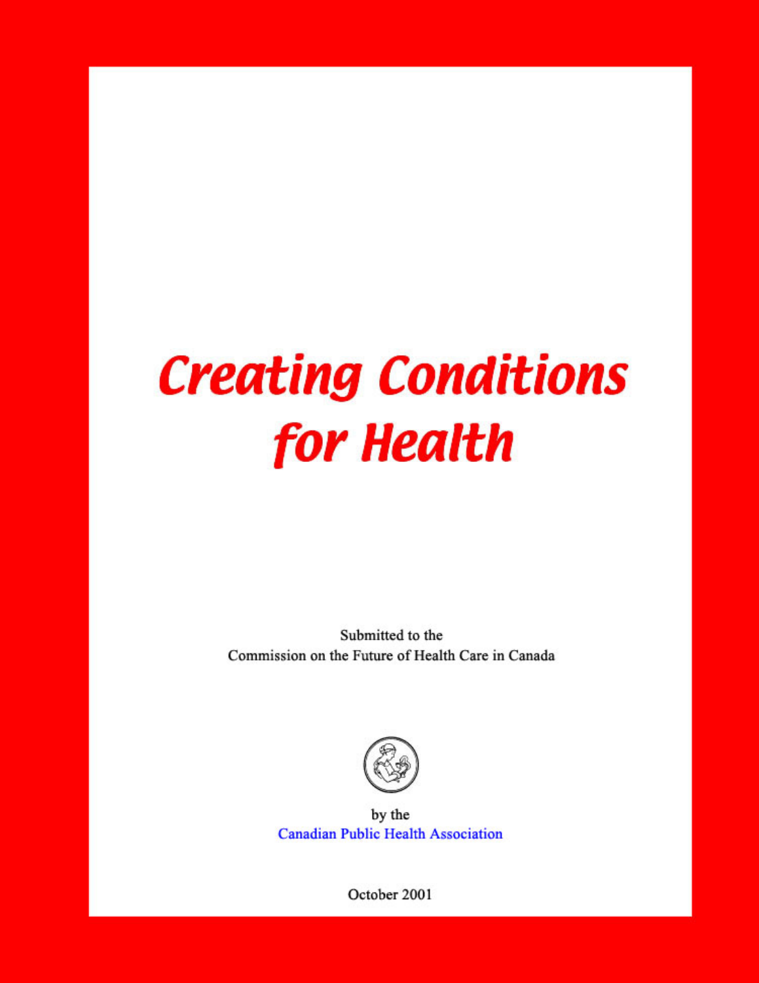# **Creating Conditions** for **Health**

Submitted to the Commission on the Future of Health Care in Canada



by the **Canadian Public Health Association** 

October 2001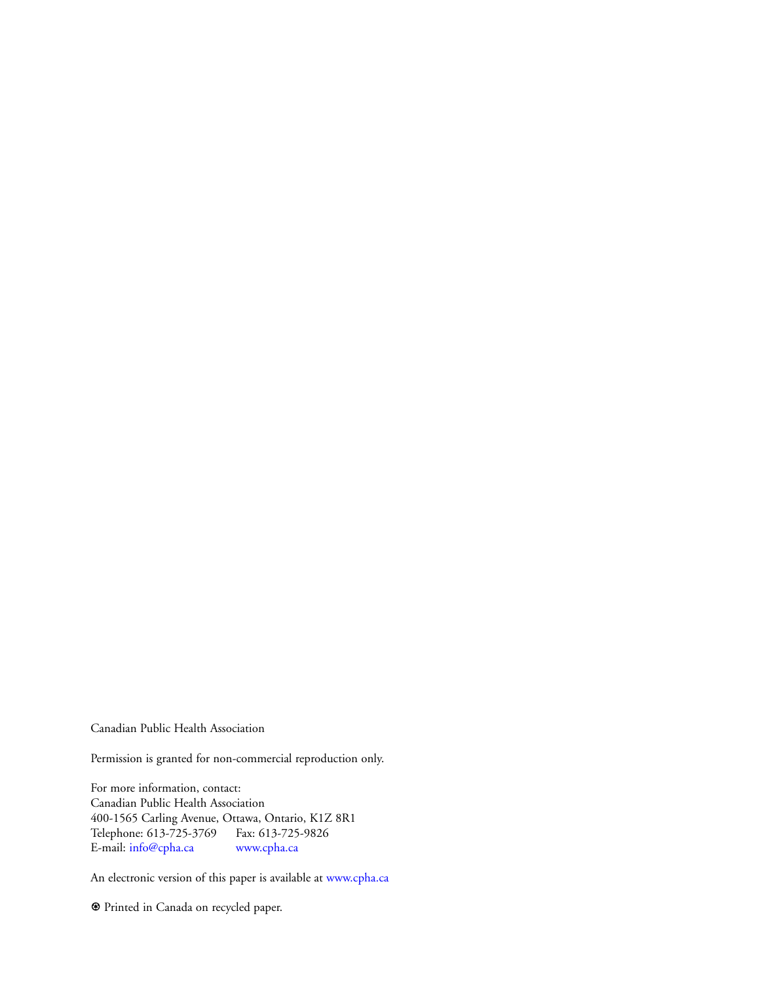Canadian Public Health Association

Permission is granted for non-commercial reproduction only.

For more information, contact: Canadian Public Health Association 400-1565 Carling Avenue, Ottawa, Ontario, K1Z 8R1 Telephone: 613-725-3769 Fax: 613-725-9826<br>E-mail: info@cpha.ca www.cpha.ca E-mail: [info@cpha.ca](mailto:info@cpha.ca)

An electronic version of this paper is available at [www.cpha.ca](http://www.cpha.ca/english/policy/pstatem/create/page1.htm)

1 Printed in Canada on recycled paper.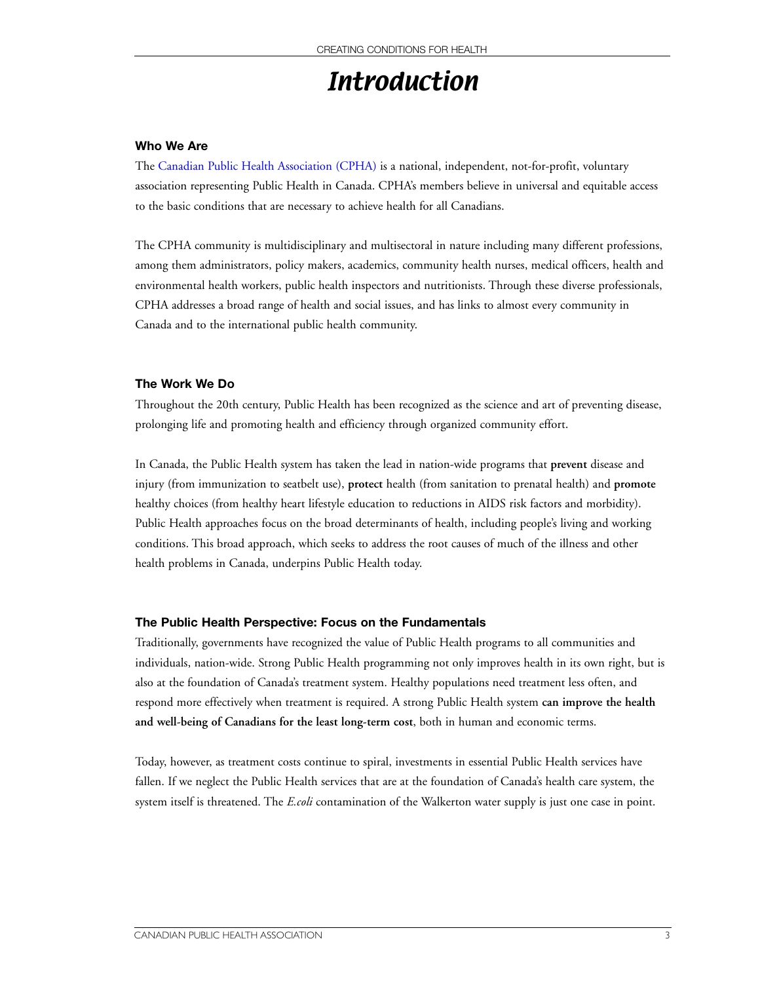# **Introduction**

#### **Who We Are**

The [Canadian Public Health Association \(CPHA\)](http://www.cpha.ca) is a national, independent, not-for-profit, voluntary association representing Public Health in Canada. CPHA's members believe in universal and equitable access to the basic conditions that are necessary to achieve health for all Canadians.

The CPHA community is multidisciplinary and multisectoral in nature including many different professions, among them administrators, policy makers, academics, community health nurses, medical officers, health and environmental health workers, public health inspectors and nutritionists. Through these diverse professionals, CPHA addresses a broad range of health and social issues, and has links to almost every community in Canada and to the international public health community.

#### **The Work We Do**

Throughout the 20th century, Public Health has been recognized as the science and art of preventing disease, prolonging life and promoting health and efficiency through organized community effort.

In Canada, the Public Health system has taken the lead in nation-wide programs that **prevent** disease and injury (from immunization to seatbelt use), **protect** health (from sanitation to prenatal health) and **promote** healthy choices (from healthy heart lifestyle education to reductions in AIDS risk factors and morbidity). Public Health approaches focus on the broad determinants of health, including people's living and working conditions. This broad approach, which seeks to address the root causes of much of the illness and other health problems in Canada, underpins Public Health today.

#### **The Public Health Perspective: Focus on the Fundamentals**

Traditionally, governments have recognized the value of Public Health programs to all communities and individuals, nation-wide. Strong Public Health programming not only improves health in its own right, but is also at the foundation of Canada's treatment system. Healthy populations need treatment less often, and respond more effectively when treatment is required. A strong Public Health system **can improve the health and well-being of Canadians for the least long-term cost**, both in human and economic terms.

Today, however, as treatment costs continue to spiral, investments in essential Public Health services have fallen. If we neglect the Public Health services that are at the foundation of Canada's health care system, the system itself is threatened. The *E.coli* contamination of the Walkerton water supply is just one case in point.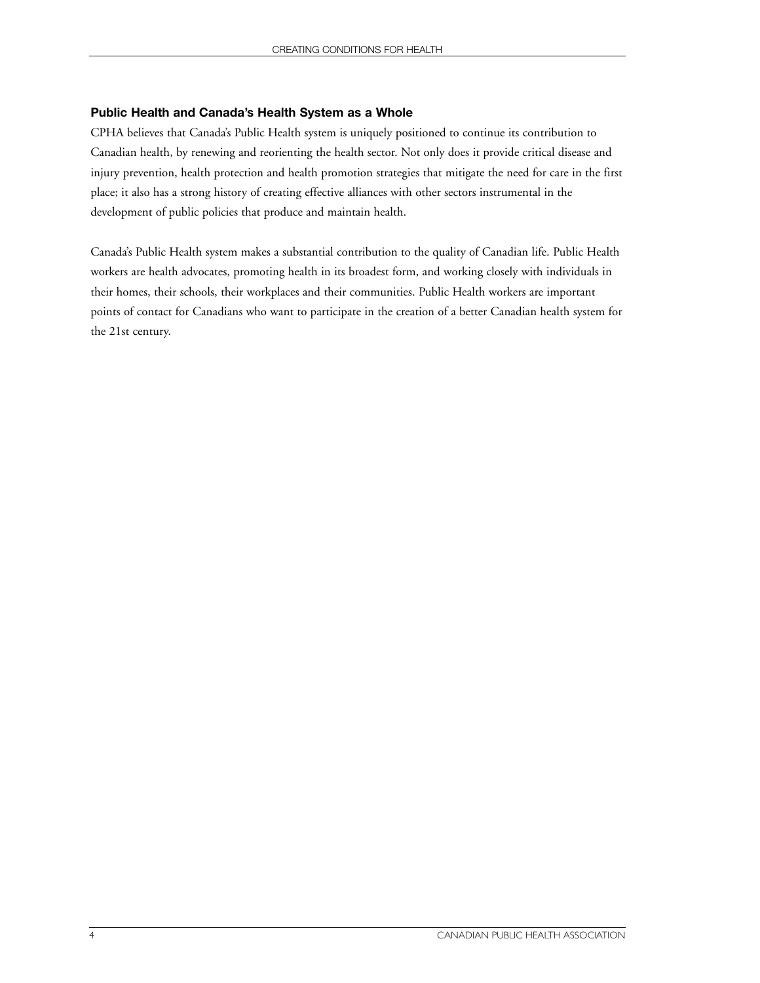#### **Public Health and Canada's Health System as a Whole**

CPHA believes that Canada's Public Health system is uniquely positioned to continue its contribution to Canadian health, by renewing and reorienting the health sector. Not only does it provide critical disease and injury prevention, health protection and health promotion strategies that mitigate the need for care in the first place; it also has a strong history of creating effective alliances with other sectors instrumental in the development of public policies that produce and maintain health.

Canada's Public Health system makes a substantial contribution to the quality of Canadian life. Public Health workers are health advocates, promoting health in its broadest form, and working closely with individuals in their homes, their schools, their workplaces and their communities. Public Health workers are important points of contact for Canadians who want to participate in the creation of a better Canadian health system for the 21st century.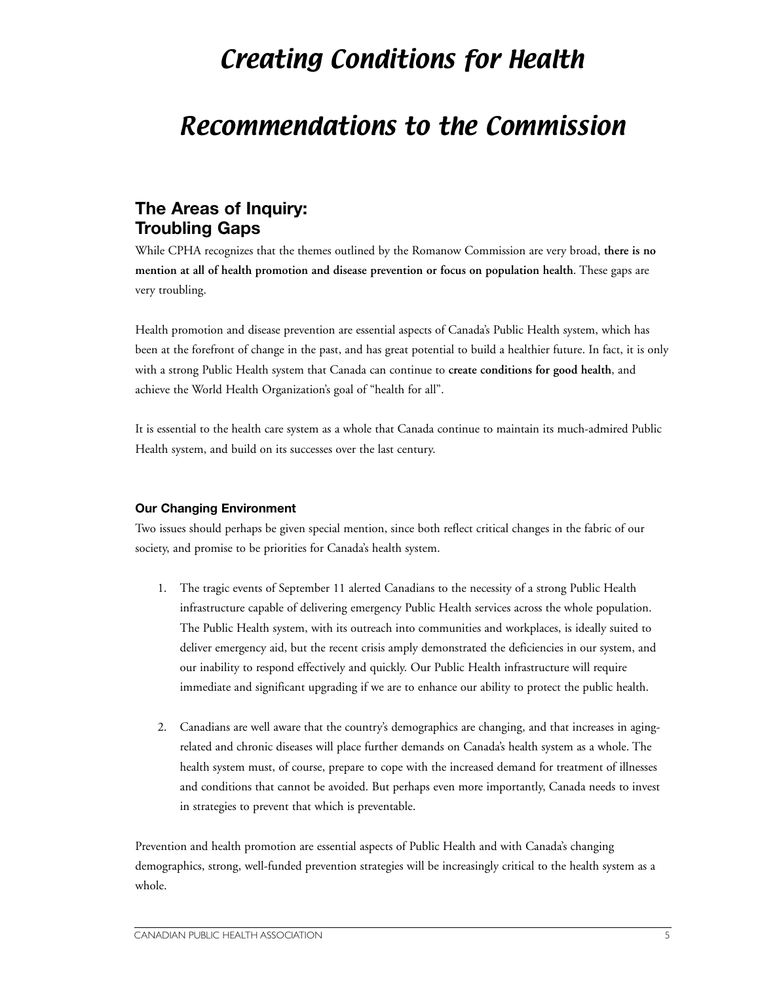# Creating Conditions for Health

# Recommendations to the Commission

### **The Areas of Inquiry: Troubling Gaps**

While CPHA recognizes that the themes outlined by the Romanow Commission are very broad, **there is no mention at all of health promotion and disease prevention or focus on population health**. These gaps are very troubling.

Health promotion and disease prevention are essential aspects of Canada's Public Health system, which has been at the forefront of change in the past, and has great potential to build a healthier future. In fact, it is only with a strong Public Health system that Canada can continue to **create conditions for good health**, and achieve the World Health Organization's goal of "health for all".

It is essential to the health care system as a whole that Canada continue to maintain its much-admired Public Health system, and build on its successes over the last century.

#### **Our Changing Environment**

Two issues should perhaps be given special mention, since both reflect critical changes in the fabric of our society, and promise to be priorities for Canada's health system.

- 1. The tragic events of September 11 alerted Canadians to the necessity of a strong Public Health infrastructure capable of delivering emergency Public Health services across the whole population. The Public Health system, with its outreach into communities and workplaces, is ideally suited to deliver emergency aid, but the recent crisis amply demonstrated the deficiencies in our system, and our inability to respond effectively and quickly. Our Public Health infrastructure will require immediate and significant upgrading if we are to enhance our ability to protect the public health.
- 2. Canadians are well aware that the country's demographics are changing, and that increases in agingrelated and chronic diseases will place further demands on Canada's health system as a whole. The health system must, of course, prepare to cope with the increased demand for treatment of illnesses and conditions that cannot be avoided. But perhaps even more importantly, Canada needs to invest in strategies to prevent that which is preventable.

Prevention and health promotion are essential aspects of Public Health and with Canada's changing demographics, strong, well-funded prevention strategies will be increasingly critical to the health system as a whole.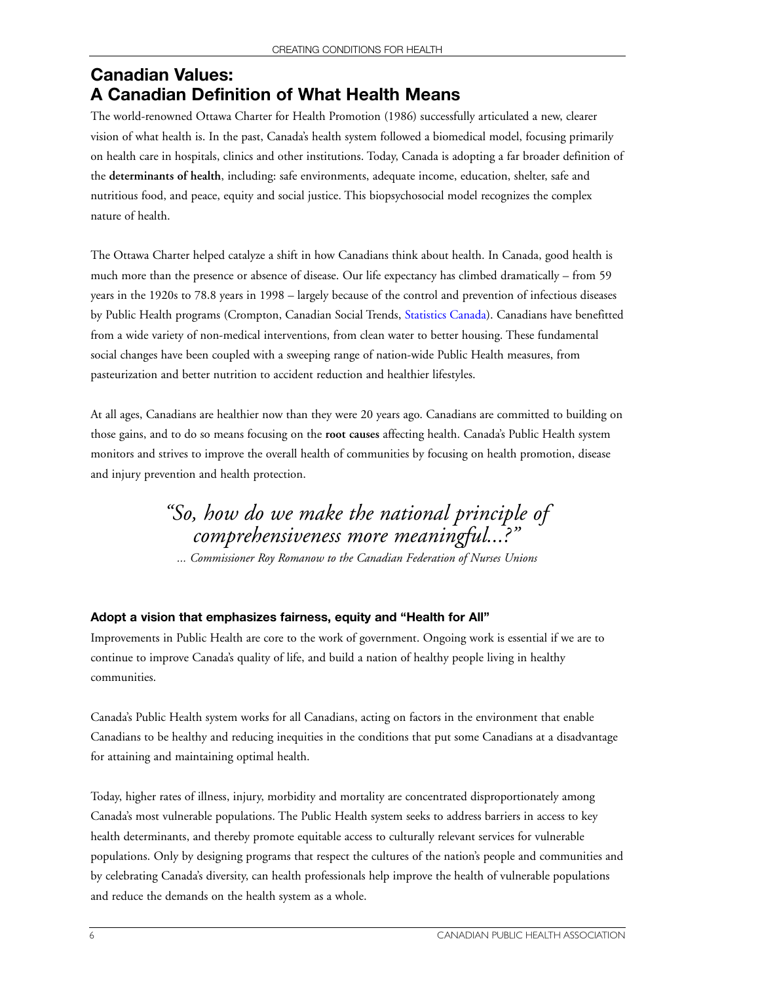## **Canadian Values: A Canadian Definition of What Health Means**

The world-renowned Ottawa Charter for Health Promotion (1986) successfully articulated a new, clearer vision of what health is. In the past, Canada's health system followed a biomedical model, focusing primarily on health care in hospitals, clinics and other institutions. Today, Canada is adopting a far broader definition of the **determinants of health**, including: safe environments, adequate income, education, shelter, safe and nutritious food, and peace, equity and social justice. This biopsychosocial model recognizes the complex nature of health.

The Ottawa Charter helped catalyze a shift in how Canadians think about health. In Canada, good health is much more than the presence or absence of disease. Our life expectancy has climbed dramatically – from 59 years in the 1920s to 78.8 years in 1998 – largely because of the control and prevention of infectious diseases by Public Health programs (Crompton, Canadian Social Trends, [Statistics Canada\).](http://www.statcan.ca/) Canadians have benefitted from a wide variety of non-medical interventions, from clean water to better housing. These fundamental social changes have been coupled with a sweeping range of nation-wide Public Health measures, from pasteurization and better nutrition to accident reduction and healthier lifestyles.

At all ages, Canadians are healthier now than they were 20 years ago. Canadians are committed to building on those gains, and to do so means focusing on the **root causes** affecting health. Canada's Public Health system monitors and strives to improve the overall health of communities by focusing on health promotion, disease and injury prevention and health protection.

## *"So, how do we make the national principle of comprehensiveness more meaningful...?"*

*... Commissioner Roy Romanow to the Canadian Federation of Nurses Unions*

#### **Adopt a vision that emphasizes fairness, equity and "Health for All"**

Improvements in Public Health are core to the work of government. Ongoing work is essential if we are to continue to improve Canada's quality of life, and build a nation of healthy people living in healthy communities.

Canada's Public Health system works for all Canadians, acting on factors in the environment that enable Canadians to be healthy and reducing inequities in the conditions that put some Canadians at a disadvantage for attaining and maintaining optimal health.

Today, higher rates of illness, injury, morbidity and mortality are concentrated disproportionately among Canada's most vulnerable populations. The Public Health system seeks to address barriers in access to key health determinants, and thereby promote equitable access to culturally relevant services for vulnerable populations. Only by designing programs that respect the cultures of the nation's people and communities and by celebrating Canada's diversity, can health professionals help improve the health of vulnerable populations and reduce the demands on the health system as a whole.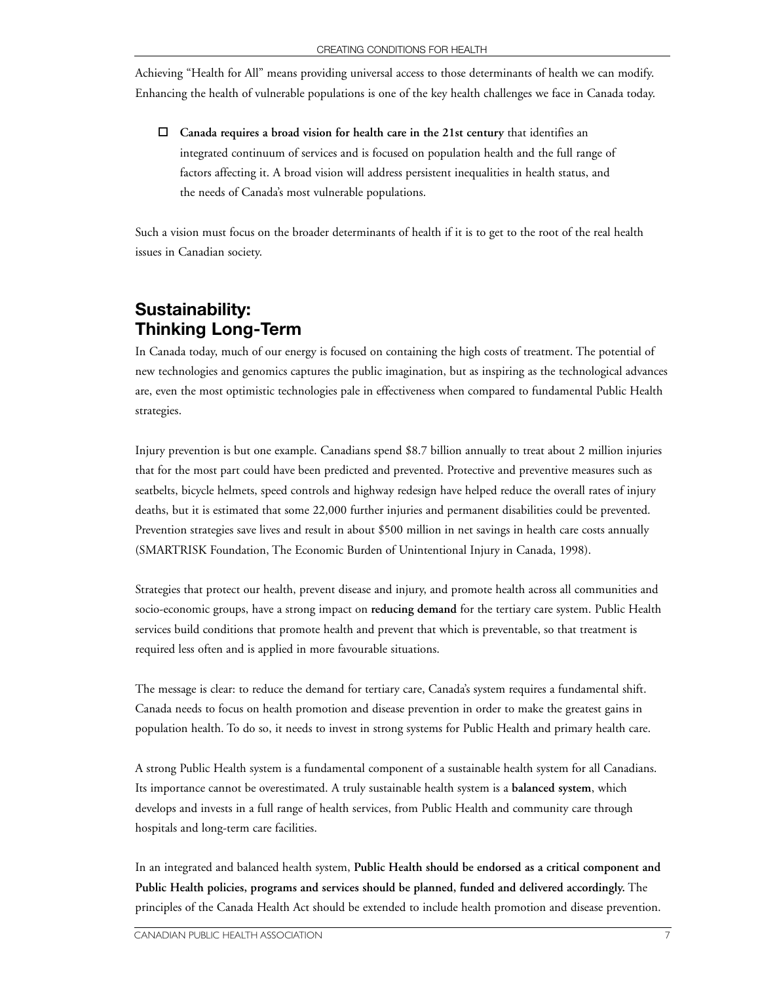Achieving "Health for All" means providing universal access to those determinants of health we can modify. Enhancing the health of vulnerable populations is one of the key health challenges we face in Canada today.

□ Canada requires a broad vision for health care in the 21st century that identifies an integrated continuum of services and is focused on population health and the full range of factors affecting it. A broad vision will address persistent inequalities in health status, and the needs of Canada's most vulnerable populations.

Such a vision must focus on the broader determinants of health if it is to get to the root of the real health issues in Canadian society.

## **Sustainability: Thinking Long-Term**

In Canada today, much of our energy is focused on containing the high costs of treatment. The potential of new technologies and genomics captures the public imagination, but as inspiring as the technological advances are, even the most optimistic technologies pale in effectiveness when compared to fundamental Public Health strategies.

Injury prevention is but one example. Canadians spend \$8.7 billion annually to treat about 2 million injuries that for the most part could have been predicted and prevented. Protective and preventive measures such as seatbelts, bicycle helmets, speed controls and highway redesign have helped reduce the overall rates of injury deaths, but it is estimated that some 22,000 further injuries and permanent disabilities could be prevented. Prevention strategies save lives and result in about \$500 million in net savings in health care costs annually (SMARTRISK Foundation, The Economic Burden of Unintentional Injury in Canada, 1998).

Strategies that protect our health, prevent disease and injury, and promote health across all communities and socio-economic groups, have a strong impact on **reducing demand** for the tertiary care system. Public Health services build conditions that promote health and prevent that which is preventable, so that treatment is required less often and is applied in more favourable situations.

The message is clear: to reduce the demand for tertiary care, Canada's system requires a fundamental shift. Canada needs to focus on health promotion and disease prevention in order to make the greatest gains in population health. To do so, it needs to invest in strong systems for Public Health and primary health care.

A strong Public Health system is a fundamental component of a sustainable health system for all Canadians. Its importance cannot be overestimated. A truly sustainable health system is a **balanced system**, which develops and invests in a full range of health services, from Public Health and community care through hospitals and long-term care facilities.

In an integrated and balanced health system, **Public Health should be endorsed as a critical component and Public Health policies, programs and services should be planned, funded and delivered accordingly.** The principles of the Canada Health Act should be extended to include health promotion and disease prevention.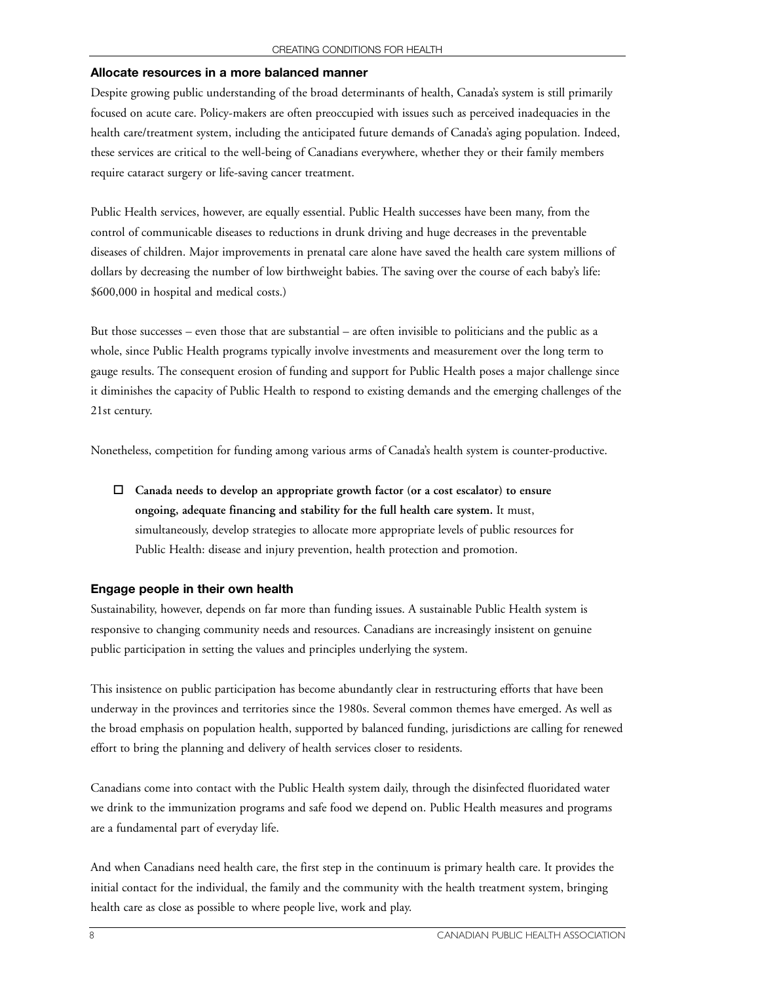#### **Allocate resources in a more balanced manner**

Despite growing public understanding of the broad determinants of health, Canada's system is still primarily focused on acute care. Policy-makers are often preoccupied with issues such as perceived inadequacies in the health care/treatment system, including the anticipated future demands of Canada's aging population. Indeed, these services are critical to the well-being of Canadians everywhere, whether they or their family members require cataract surgery or life-saving cancer treatment.

Public Health services, however, are equally essential. Public Health successes have been many, from the control of communicable diseases to reductions in drunk driving and huge decreases in the preventable diseases of children. Major improvements in prenatal care alone have saved the health care system millions of dollars by decreasing the number of low birthweight babies. The saving over the course of each baby's life: \$600,000 in hospital and medical costs.)

But those successes – even those that are substantial – are often invisible to politicians and the public as a whole, since Public Health programs typically involve investments and measurement over the long term to gauge results. The consequent erosion of funding and support for Public Health poses a major challenge since it diminishes the capacity of Public Health to respond to existing demands and the emerging challenges of the 21st century.

Nonetheless, competition for funding among various arms of Canada's health system is counter-productive.

 $\Box$  Canada needs to develop an appropriate growth factor (or a cost escalator) to ensure **ongoing, adequate financing and stability for the full health care system.** It must, simultaneously, develop strategies to allocate more appropriate levels of public resources for Public Health: disease and injury prevention, health protection and promotion.

#### **Engage people in their own health**

Sustainability, however, depends on far more than funding issues. A sustainable Public Health system is responsive to changing community needs and resources. Canadians are increasingly insistent on genuine public participation in setting the values and principles underlying the system.

This insistence on public participation has become abundantly clear in restructuring efforts that have been underway in the provinces and territories since the 1980s. Several common themes have emerged. As well as the broad emphasis on population health, supported by balanced funding, jurisdictions are calling for renewed effort to bring the planning and delivery of health services closer to residents.

Canadians come into contact with the Public Health system daily, through the disinfected fluoridated water we drink to the immunization programs and safe food we depend on. Public Health measures and programs are a fundamental part of everyday life.

And when Canadians need health care, the first step in the continuum is primary health care. It provides the initial contact for the individual, the family and the community with the health treatment system, bringing health care as close as possible to where people live, work and play.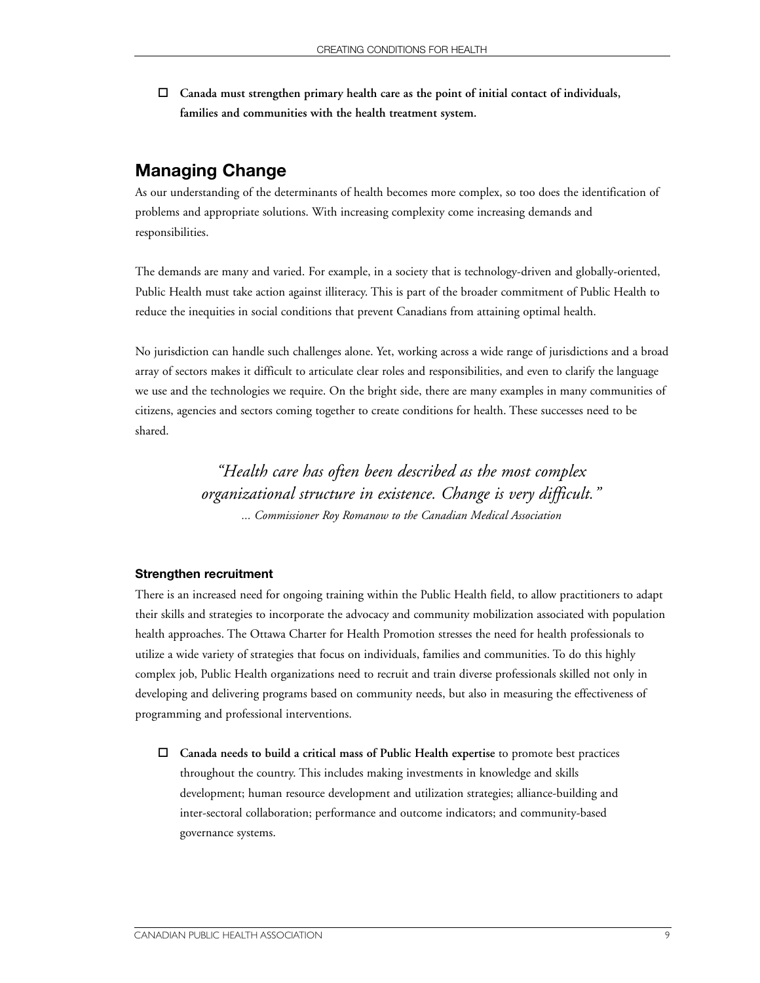□ Canada must strengthen primary health care as the point of initial contact of individuals, **families and communities with the health treatment system.**

#### **Managing Change**

As our understanding of the determinants of health becomes more complex, so too does the identification of problems and appropriate solutions. With increasing complexity come increasing demands and responsibilities.

The demands are many and varied. For example, in a society that is technology-driven and globally-oriented, Public Health must take action against illiteracy. This is part of the broader commitment of Public Health to reduce the inequities in social conditions that prevent Canadians from attaining optimal health.

No jurisdiction can handle such challenges alone. Yet, working across a wide range of jurisdictions and a broad array of sectors makes it difficult to articulate clear roles and responsibilities, and even to clarify the language we use and the technologies we require. On the bright side, there are many examples in many communities of citizens, agencies and sectors coming together to create conditions for health. These successes need to be shared.

> *"Health care has often been described as the most complex organizational structure in existence. Change is very difficult." ... Commissioner Roy Romanow to the Canadian Medical Association*

#### **Strengthen recruitment**

There is an increased need for ongoing training within the Public Health field, to allow practitioners to adapt their skills and strategies to incorporate the advocacy and community mobilization associated with population health approaches. The Ottawa Charter for Health Promotion stresses the need for health professionals to utilize a wide variety of strategies that focus on individuals, families and communities. To do this highly complex job, Public Health organizations need to recruit and train diverse professionals skilled not only in developing and delivering programs based on community needs, but also in measuring the effectiveness of programming and professional interventions.

" **Canada needs to build a critical mass of Public Health expertise** to promote best practices throughout the country. This includes making investments in knowledge and skills development; human resource development and utilization strategies; alliance-building and inter-sectoral collaboration; performance and outcome indicators; and community-based governance systems.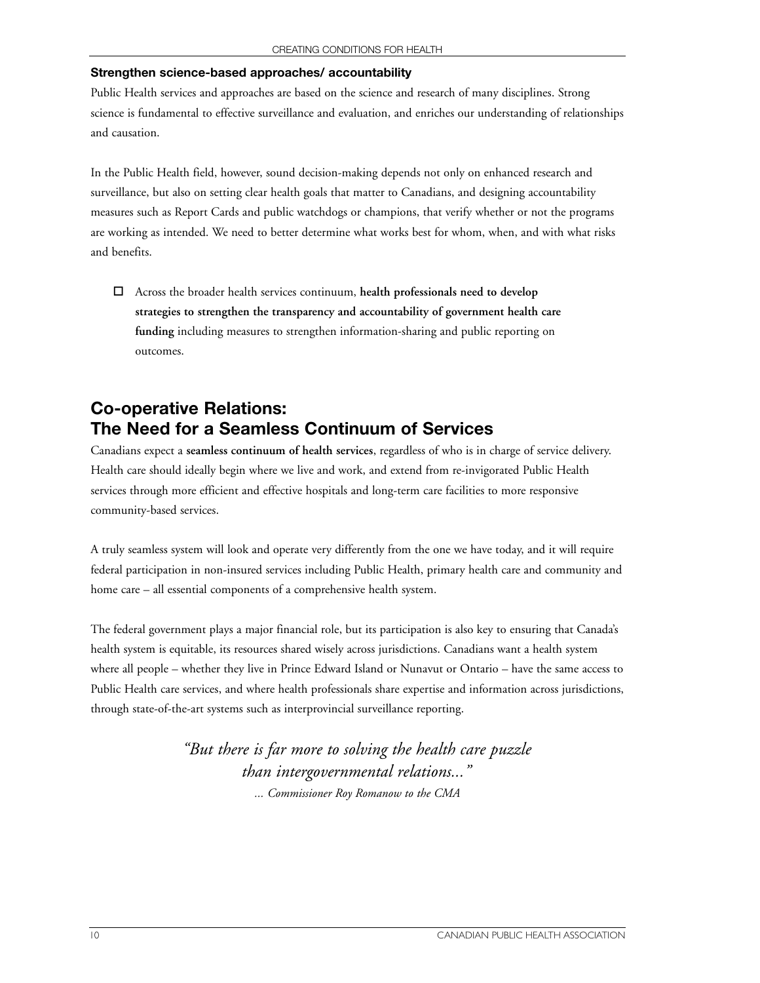#### **Strengthen science-based approaches/ accountability**

Public Health services and approaches are based on the science and research of many disciplines. Strong science is fundamental to effective surveillance and evaluation, and enriches our understanding of relationships and causation.

In the Public Health field, however, sound decision-making depends not only on enhanced research and surveillance, but also on setting clear health goals that matter to Canadians, and designing accountability measures such as Report Cards and public watchdogs or champions, that verify whether or not the programs are working as intended. We need to better determine what works best for whom, when, and with what risks and benefits.

" Across the broader health services continuum, **health professionals need to develop strategies to strengthen the transparency and accountability of government health care funding** including measures to strengthen information-sharing and public reporting on outcomes.

## **Co-operative Relations: The Need for a Seamless Continuum of Services**

Canadians expect a **seamless continuum of health services**, regardless of who is in charge of service delivery. Health care should ideally begin where we live and work, and extend from re-invigorated Public Health services through more efficient and effective hospitals and long-term care facilities to more responsive community-based services.

A truly seamless system will look and operate very differently from the one we have today, and it will require federal participation in non-insured services including Public Health, primary health care and community and home care – all essential components of a comprehensive health system.

The federal government plays a major financial role, but its participation is also key to ensuring that Canada's health system is equitable, its resources shared wisely across jurisdictions. Canadians want a health system where all people – whether they live in Prince Edward Island or Nunavut or Ontario – have the same access to Public Health care services, and where health professionals share expertise and information across jurisdictions, through state-of-the-art systems such as interprovincial surveillance reporting.

> *"But there is far more to solving the health care puzzle than intergovernmental relations..." ... Commissioner Roy Romanow to the CMA*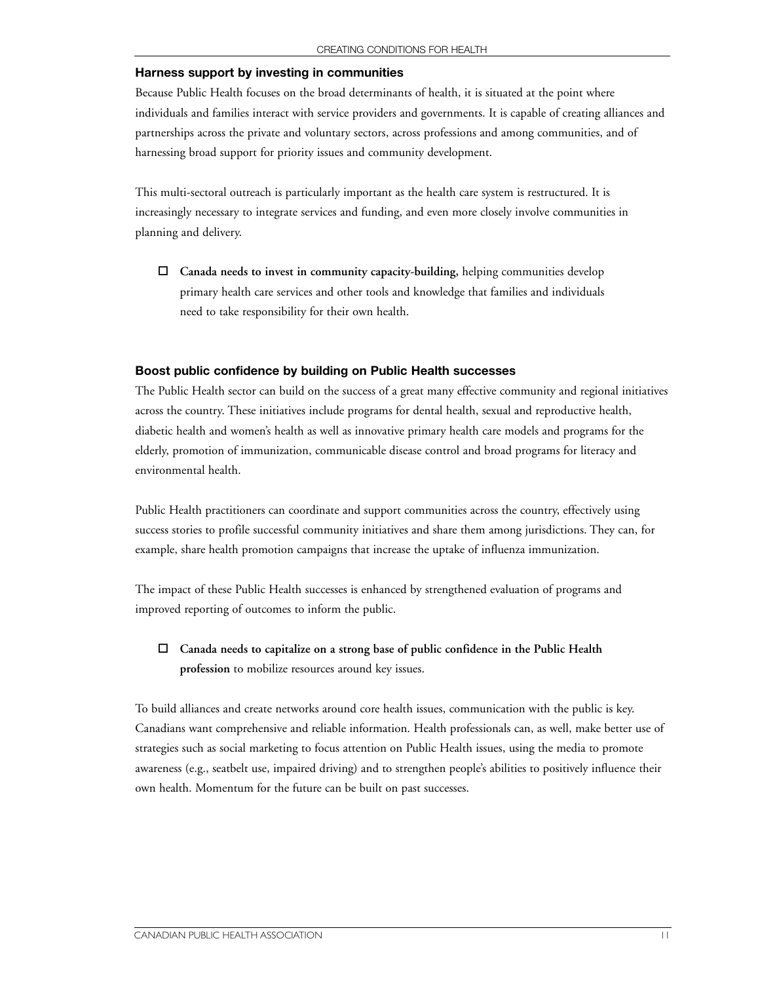#### **Harness support by investing in communities**

Because Public Health focuses on the broad determinants of health, it is situated at the point where individuals and families interact with service providers and governments. It is capable of creating alliances and partnerships across the private and voluntary sectors, across professions and among communities, and of harnessing broad support for priority issues and community development.

This multi-sectoral outreach is particularly important as the health care system is restructured. It is increasingly necessary to integrate services and funding, and even more closely involve communities in planning and delivery.

" **Canada needs to invest in community capacity-building,** helping communities develop primary health care services and other tools and knowledge that families and individuals need to take responsibility for their own health.

#### **Boost public confidence by building on Public Health successes**

The Public Health sector can build on the success of a great many effective community and regional initiatives across the country. These initiatives include programs for dental health, sexual and reproductive health, diabetic health and women's health as well as innovative primary health care models and programs for the elderly, promotion of immunization, communicable disease control and broad programs for literacy and environmental health.

Public Health practitioners can coordinate and support communities across the country, effectively using success stories to profile successful community initiatives and share them among jurisdictions. They can, for example, share health promotion campaigns that increase the uptake of influenza immunization.

The impact of these Public Health successes is enhanced by strengthened evaluation of programs and improved reporting of outcomes to inform the public.

 $\Box$  Canada needs to capitalize on a strong base of public confidence in the Public Health **profession** to mobilize resources around key issues.

To build alliances and create networks around core health issues, communication with the public is key. Canadians want comprehensive and reliable information. Health professionals can, as well, make better use of strategies such as social marketing to focus attention on Public Health issues, using the media to promote awareness (e.g., seatbelt use, impaired driving) and to strengthen people's abilities to positively influence their own health. Momentum for the future can be built on past successes.